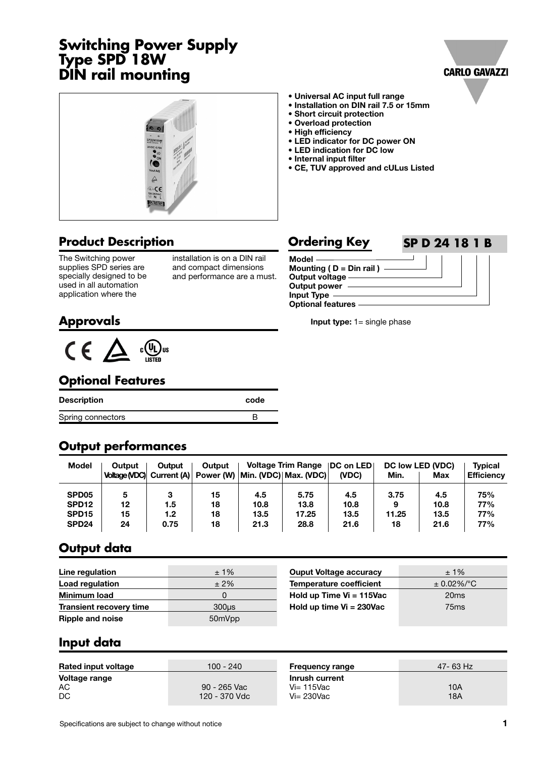# **Switching Power Supply Type SPD 18W DIN rail mounting**





## **Product Description**

The Switching power supplies SPD series are specially designed to be used in all automation application where the

installation is on a DIN rail and compact dimensions and performance are a must.

- **Universal AC input full range • Installation on DIN rail 7.5 or 15mm**
- **Short circuit protection**
- **Overload protection**
- **High efficiency**
- 
- **LED indicator for DC power ON • LED indication for DC low**
- **Internal input filter**
- **CE, TUV approved and cULus Listed**

#### **Model Mounting ( D = Din rail ) Output voltage Output power Input Type Optional features Ordering Key SP D 24 18 1 B**

**Input type:** 1= single phase

#### **Approvals**



#### **Optional Features**

| Description       | code |
|-------------------|------|
| Spring connectors |      |

#### **Output performances**

| Model             | Output | Output | Output |      | <b>Voltage Trim Range</b>                                       | <b>IDC on LED</b> |       | <b>DC low LED (VDC)</b> | <b>Typical</b>    |
|-------------------|--------|--------|--------|------|-----------------------------------------------------------------|-------------------|-------|-------------------------|-------------------|
|                   |        |        |        |      | Voltage (VDC) Current (A)   Power (W)   Min. (VDC)   Max. (VDC) | (VDC)             | Min.  | Max                     | <b>Efficiency</b> |
| SPD <sub>05</sub> | 5      | 3      | 15     | 4.5  | 5.75                                                            | 4.5               | 3.75  | 4.5                     | 75%               |
| SPD <sub>12</sub> | 12     | 1.5    | 18     | 10.8 | 13.8                                                            | 10.8              | 9     | 10.8                    | 77%               |
| SPD <sub>15</sub> | 15     | 1.2    | 18     | 13.5 | 17.25                                                           | 13.5              | 11.25 | 13.5                    | 77%               |
| SPD <sub>24</sub> | 24     | 0.75   | 18     | 21.3 | 28.8                                                            | 21.6              | 18    | 21.6                    | 77%               |

#### **Output data**

| Line regulation                | $±1\%$            | <b>Ouput Voltage accuracy</b>  | $±1\%$           |
|--------------------------------|-------------------|--------------------------------|------------------|
| Load regulation                | $±2\%$            | <b>Temperature coefficient</b> | $\pm$ 0.02%/°C   |
| <b>Minimum load</b>            |                   | Hold up Time Vi = 115Vac       | 20ms             |
| <b>Transient recovery time</b> | 300 <sub>us</sub> | Hold up time $Vi = 230Vac$     | 75 <sub>ms</sub> |
| <b>Ripple and noise</b>        | 50mVpp            |                                |                  |

#### **Input data**

| <b>Rated input voltage</b> | 100 - 240                     | <b>Frequency range</b>                             | 47- 63 Hz  |
|----------------------------|-------------------------------|----------------------------------------------------|------------|
| Voltage range<br>AC<br>DC  | 90 - 265 Vac<br>120 - 370 Vdc | Inrush current<br>$Vi = 115$ Vac<br>$Vi = 230$ Vac | 10A<br>18A |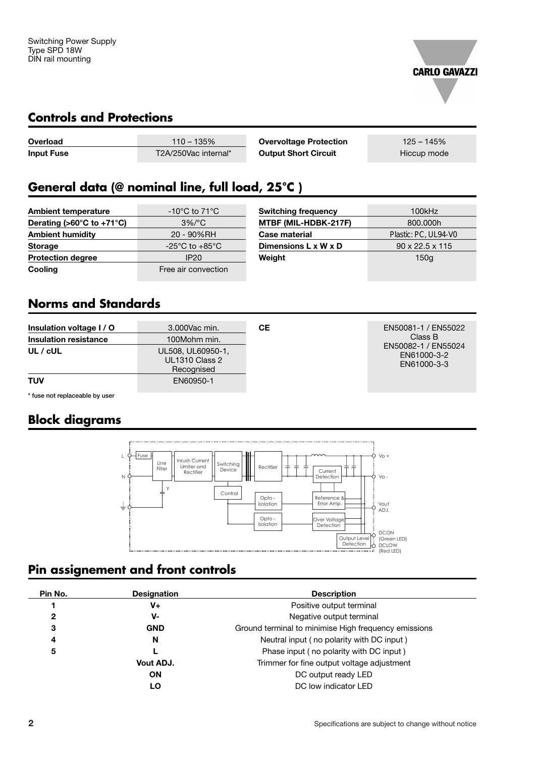

#### **Controls and Protections**

| Overload          | $110 - 135%$         | <b>Overvoltage Protection</b> | $125 - 145%$ |
|-------------------|----------------------|-------------------------------|--------------|
| <b>Input Fuse</b> | T2A/250Vac internal* | <b>Output Short Circuit</b>   | Hiccup mode  |

# **General data (@ nominal line, full load, 25°C )**

| <b>Ambient temperature</b>                      | $-10^{\circ}$ C to 71 $^{\circ}$ C   | <b>Switching frequency</b>       | 100kHz                      |
|-------------------------------------------------|--------------------------------------|----------------------------------|-----------------------------|
| Derating ( $>60^{\circ}$ C to +71 $^{\circ}$ C) | $3\%/°C$                             | MTBF (MIL-HDBK-217F)             | 800,000h                    |
| <b>Ambient humidity</b>                         | 20 - 90%RH                           | <b>Case material</b>             | Plastic: PC, UL94-V0        |
| <b>Storage</b>                                  | -25 $^{\circ}$ C to +85 $^{\circ}$ C | Dimensions $L \times W \times D$ | $90 \times 22.5 \times 115$ |
| <b>Protection degree</b>                        | IP20                                 | Weight                           | 150q                        |
| Cooling                                         | Free air convection                  |                                  |                             |

#### **Norms and Standards**

| Insulation voltage I / O<br><b>Insulation resistance</b> | 3.000 Vac min.<br>100Mohm min.                           | CЕ | EN50081-1 / EN55022<br>Class B                    |
|----------------------------------------------------------|----------------------------------------------------------|----|---------------------------------------------------|
| $UL$ / $cUL$                                             | UL508, UL60950-1,<br><b>UL1310 Class 2</b><br>Recognised |    | EN50082-1 / EN55024<br>EN61000-3-2<br>EN61000-3-3 |
| <b>TUV</b>                                               | EN60950-1                                                |    |                                                   |

**\* fuse not replaceable by user**

## **Block diagrams**



## **Pin assignement and front controls**

| Pin No. | <b>Designation</b> | <b>Description</b>                                   |
|---------|--------------------|------------------------------------------------------|
|         | V+                 | Positive output terminal                             |
| 2       | V-                 | Negative output terminal                             |
| 3       | <b>GND</b>         | Ground terminal to minimise High frequency emissions |
| 4       | N                  | Neutral input (no polarity with DC input)            |
| 5       |                    | Phase input (no polarity with DC input)              |
|         | Vout ADJ.          | Trimmer for fine output voltage adjustment           |
|         | <b>ON</b>          | DC output ready LED                                  |
|         | LO                 | DC low indicator LED                                 |